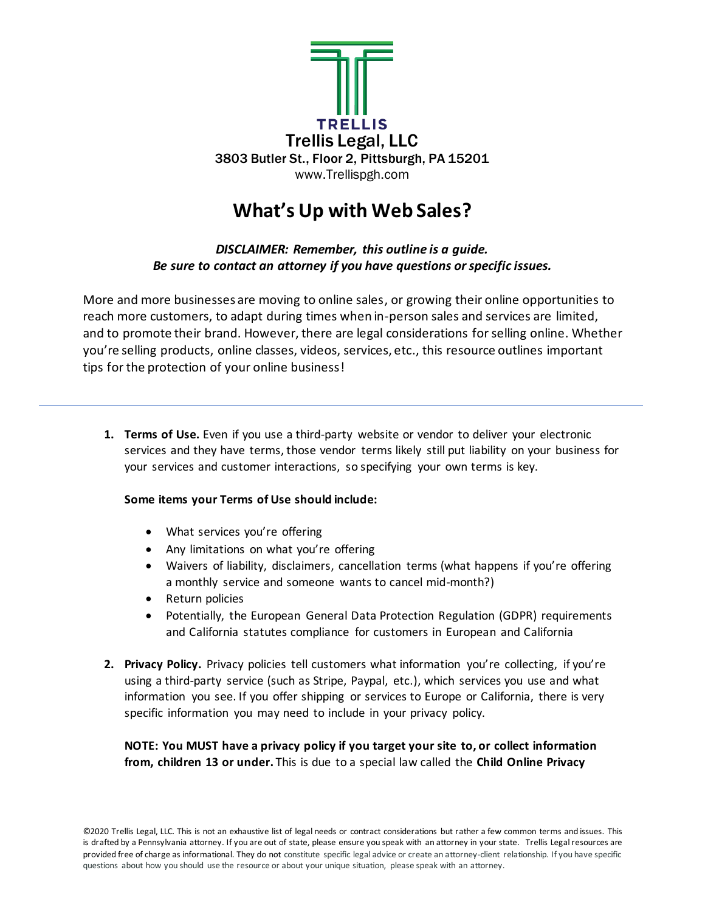

# **What's Up with Web Sales?**

*DISCLAIMER: Remember, this outline is a guide. Be sure to contact an attorney if you have questions or specific issues.* 

More and more businesses are moving to online sales, or growing their online opportunities to reach more customers, to adapt during times when in-person sales and services are limited, and to promote their brand. However, there are legal considerations forselling online. Whether you're selling products, online classes, videos, services, etc., this resource outlines important tips for the protection of your online business!

**1. Terms of Use.** Even if you use a third-party website or vendor to deliver your electronic services and they have terms, those vendor terms likely still put liability on your business for your services and customer interactions, so specifying your own terms is key.

## **Some items your Terms of Use should include:**

- What services you're offering
- Any limitations on what you're offering
- Waivers of liability, disclaimers, cancellation terms (what happens if you're offering a monthly service and someone wants to cancel mid-month?)
- Return policies
- Potentially, the European General Data Protection Regulation (GDPR) requirements and California statutes compliance for customers in European and California
- **2. Privacy Policy.** Privacy policies tell customers what information you're collecting, if you're using a third-party service (such as Stripe, Paypal, etc.), which services you use and what information you see. If you offer shipping or services to Europe or California, there is very specific information you may need to include in your privacy policy.

**NOTE: You MUST have a privacy policy if you target your site to, or collect information from, children 13 or under.** This is due to a special law called the **Child Online Privacy**